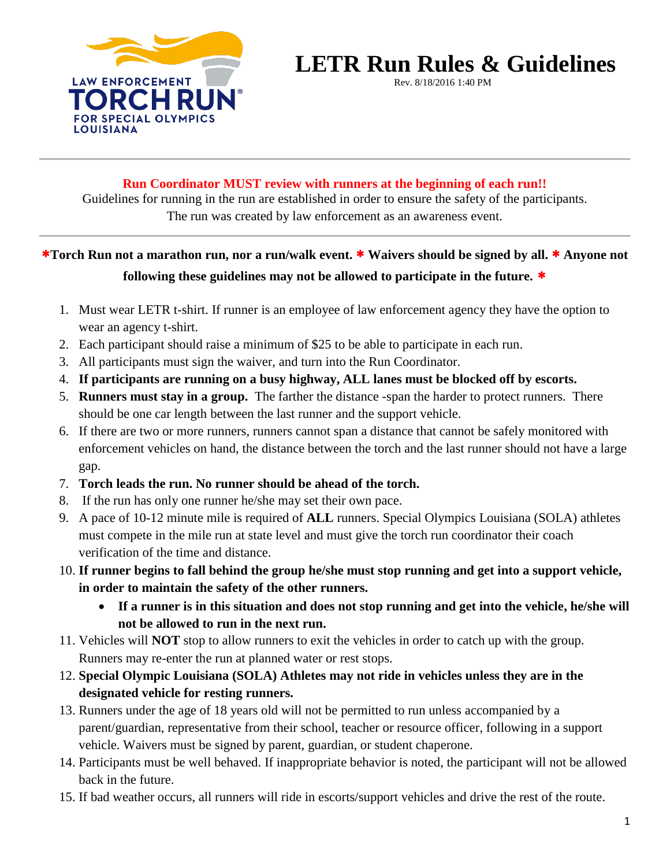

# **LETR Run Rules & Guidelines EVEL 1 IN INCLUE INCLUES**

#### **Run Coordinator MUST review with runners at the beginning of each run!!**

Guidelines for running in the run are established in order to ensure the safety of the participants. The run was created by law enforcement as an awareness event.

## **Torch Run not a marathon run, nor a run/walk event. Waivers should be signed by all. Anyone not following these guidelines may not be allowed to participate in the future.**

- 1. Must wear LETR t-shirt. If runner is an employee of law enforcement agency they have the option to wear an agency t-shirt.
- 2. Each participant should raise a minimum of \$25 to be able to participate in each run.
- 3. All participants must sign the waiver, and turn into the Run Coordinator.
- 4. **If participants are running on a busy highway, ALL lanes must be blocked off by escorts.**
- 5. **Runners must stay in a group.** The farther the distance -span the harder to protect runners. There should be one car length between the last runner and the support vehicle.
- 6. If there are two or more runners, runners cannot span a distance that cannot be safely monitored with enforcement vehicles on hand, the distance between the torch and the last runner should not have a large gap.
- 7. **Torch leads the run. No runner should be ahead of the torch.**
- 8. If the run has only one runner he/she may set their own pace.
- 9. A pace of 10-12 minute mile is required of **ALL** runners. Special Olympics Louisiana (SOLA) athletes must compete in the mile run at state level and must give the torch run coordinator their coach verification of the time and distance.
- 10. **If runner begins to fall behind the group he/she must stop running and get into a support vehicle, in order to maintain the safety of the other runners.**
	- **If a runner is in this situation and does not stop running and get into the vehicle, he/she will not be allowed to run in the next run.**
- 11. Vehicles will **NOT** stop to allow runners to exit the vehicles in order to catch up with the group. Runners may re-enter the run at planned water or rest stops.
- 12. **Special Olympic Louisiana (SOLA) Athletes may not ride in vehicles unless they are in the designated vehicle for resting runners.**
- 13. Runners under the age of 18 years old will not be permitted to run unless accompanied by a parent/guardian, representative from their school, teacher or resource officer, following in a support vehicle. Waivers must be signed by parent, guardian, or student chaperone.
- 14. Participants must be well behaved. If inappropriate behavior is noted, the participant will not be allowed back in the future.
- 15. If bad weather occurs, all runners will ride in escorts/support vehicles and drive the rest of the route.